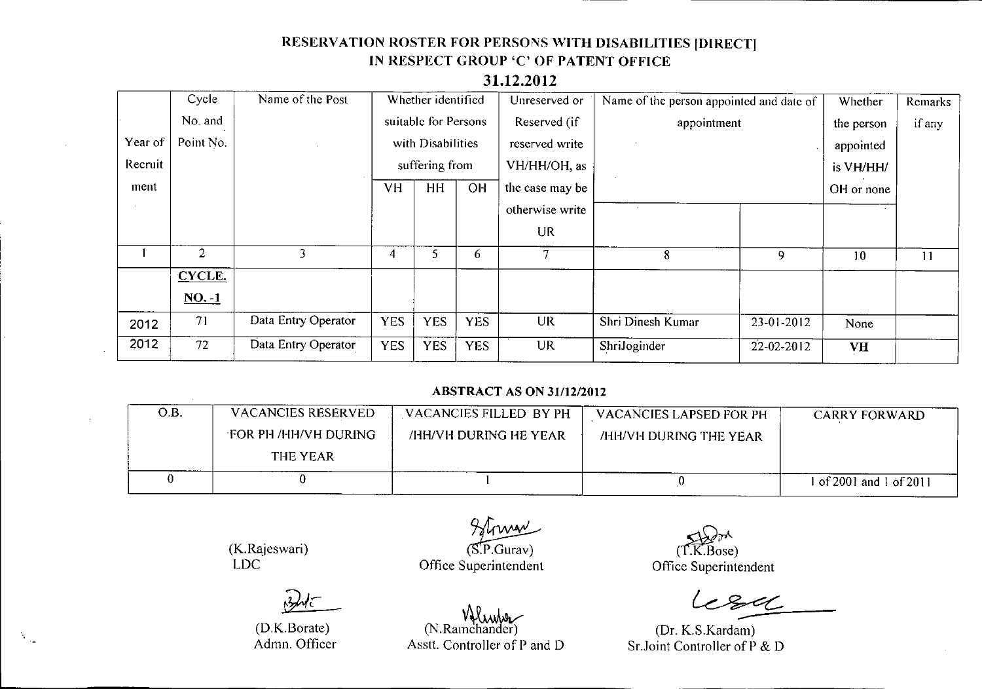# RESERVATION ROSTER FOR PERSONS WITH DISABILITIES [DIRECT] IN RESPECT GROUP 'C' OF PATENT OFFICE

### 31.12.2012

|         | Cycle          | Name of the Post    |                      | Whether identified |                | Unreserved or   | Name of the person appointed and date of |                  | Whether    | <b>Remarks</b> |
|---------|----------------|---------------------|----------------------|--------------------|----------------|-----------------|------------------------------------------|------------------|------------|----------------|
|         | No. and        |                     | suitable for Persons |                    | Reserved (if   | appointment     |                                          | the person       | if any     |                |
| Year of | Point No.      |                     | with Disabilities    |                    | reserved write |                 |                                          | appointed        |            |                |
| Recruit |                |                     | suffering from       |                    | VH/HH/OH, as   |                 |                                          | is VH/HH/        |            |                |
| ment    |                |                     | <b>VH</b>            | <b>HH</b>          | <b>OH</b>      | the case may be |                                          |                  | OH or none |                |
|         |                |                     |                      |                    |                | otherwise write |                                          |                  |            |                |
|         |                |                     |                      |                    |                | UR              |                                          |                  |            |                |
|         | $\overline{2}$ | 3                   | 4                    | 5                  | 6              | 7               | 8                                        | 9                | 10         | 11             |
|         | CYCLE.         |                     |                      |                    |                |                 |                                          |                  |            |                |
|         | $NO. -1$       |                     |                      |                    |                |                 |                                          |                  |            |                |
| 2012    | 71             | Data Entry Operator | <b>YES</b>           | <b>YES</b>         | <b>YES</b>     | <b>UR</b>       | Shri Dinesh Kumar                        | 23-01-2012       | None       |                |
| 2012    | 72             | Data Entry Operator | <b>YES</b>           | <b>YES</b>         | <b>YES</b>     | UR              | ShriJoginder                             | $22 - 02 - 2012$ | <b>VH</b>  |                |

#### **ABSTRACT AS ON 31/12/2012**

| O.B. | VACANCIES RESERVED   | VACANCIES FILLED BY PH | <b>VACANCIES LAPSED FOR PH</b> | <b>CARRY FORWARD</b>  |
|------|----------------------|------------------------|--------------------------------|-----------------------|
|      | FOR PH /HH/VH DURING | /HH/VH DURING HE YEAR  | /HH/VH DURING THE YEAR         |                       |
|      | THE YEAR             |                        |                                |                       |
|      |                      |                        |                                | of 2001 and 1 of 2011 |

(K.Rajeswari) LDC

 $\mathcal{A}^{\text{max}}_{\text{max}}$ 

 $\lambda$ trivan  $(S.P.Gurav)$ 

Office Superintendent

Asstt. Controller of P and D

۷ Www<br>N.Ramchand)

 $\leq$ d $\geq$ (T.K.Bos

Officc Superintendent

 $84$ 

(Dr. K.S.Kardam) Sr..Joint Controller of P & D

(D.K.Borate) Admn. Officer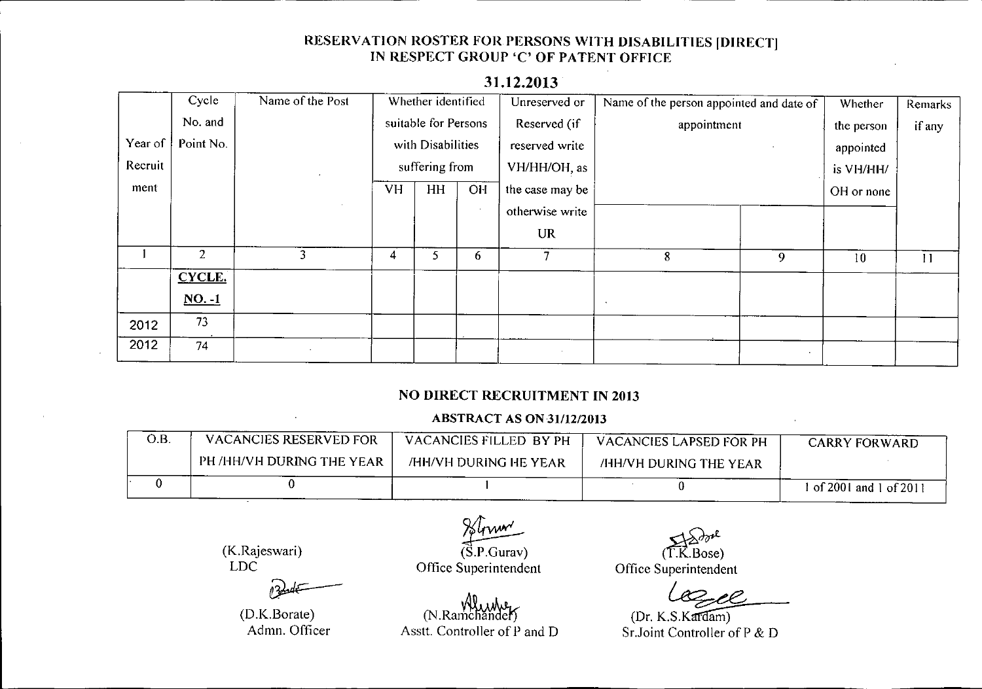# RESERVATION ROSTER FOR PERSONS WITH DISABILITIES [DIRECT] IN RESPECT GROUP 'C' OF PATENT OFFICE

|         | Cycle          | Name of the Post | Whether identified   |    | Unreserved or  | Name of the person appointed and date of |         | Whether    | <b>Remarks</b> |    |
|---------|----------------|------------------|----------------------|----|----------------|------------------------------------------|---------|------------|----------------|----|
|         | No. and        |                  | suitable for Persons |    | Reserved (if   | appointment                              |         | the person | if any         |    |
| Year of | Point No.      |                  | with Disabilities    |    | reserved write |                                          |         | appointed  |                |    |
| Recruit |                |                  | suffering from       |    | VH/HH/OH, as   |                                          |         | is VH/HH/  |                |    |
| ment    |                |                  | <b>VH</b>            | HH | OH             | the case may be                          |         |            | OH or none     |    |
|         |                | $\sim$           |                      |    | $\cdot$        | otherwise write                          |         |            |                |    |
|         |                |                  |                      |    |                | <b>UR</b>                                |         |            |                |    |
|         | $\overline{2}$ | 3                | 4                    | 5  | 6              | 7                                        | 8       | 9          | 10             | 11 |
|         | <b>CYCLE.</b>  |                  |                      |    |                |                                          |         |            |                |    |
|         | $NO. -1$       |                  |                      |    |                |                                          | $\cdot$ |            |                |    |
| 2012    | 73             |                  |                      |    |                |                                          |         |            |                |    |
| 2012    | 74             |                  |                      |    |                |                                          |         |            |                |    |

# 31.12.2013

### NO DIRECT RECRUITMENT IN 2013

#### **ABSTRACT AS ON 31/12/2013**

| O.B | VACANCIES RESERVED FOR    | VACANCIES FILLED BY PH | VACANCIES LAPSED FOR PH       | <b>CARRY FORWARD</b>    |
|-----|---------------------------|------------------------|-------------------------------|-------------------------|
|     | PH /HH/VH DURING THE YEAR | /HH/VH DURING HE YEAR  | <b>/HH/VH DURING THE YEAR</b> |                         |
|     |                           |                        |                               | f of 2001 and 1 of 2011 |

(K.Rajeswari) LOC

(D.K.Borate) Admn. Officer

.<br>.<br>. (S.P.Gura

Office Superintendent

 $(T.K.Bose)$ 

Office Superintende

T.K.Bose)<br>perintendent<br>Letter C.C.

(Dr. K.S.Kardam) Sr.Joint Controller of P & D

 $(N.$ Ramchander Asstt. Controller of P and D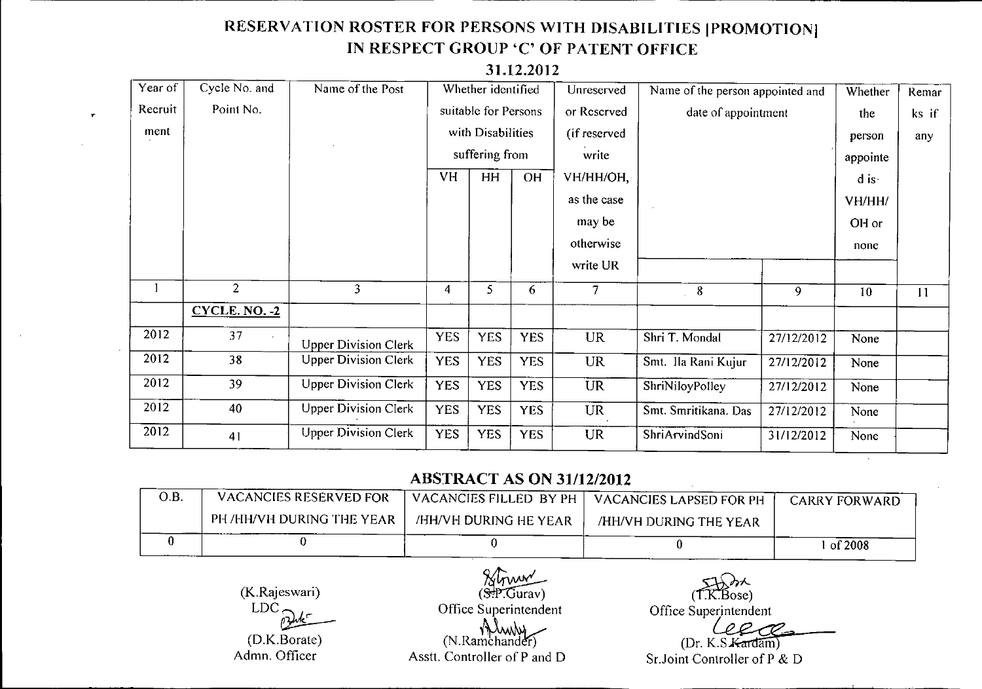# **RESERVATION ROSTER FOR PERSONS WITH DISABILITIES IPROMOTIONI IN RESPECT GROUP** 'C' **OF PATENT OFFICE**

| Year of | Cycle No. and   | Name of the Post            |            | Whether identified   |            | Unreserved     | Name of the person appointed and |            | Whether           | Remar |
|---------|-----------------|-----------------------------|------------|----------------------|------------|----------------|----------------------------------|------------|-------------------|-------|
| Recruit | Point No.       |                             |            | suitable for Persons |            | or Reserved    | date of appointment              |            | the               | ks if |
| ment    |                 |                             |            | with Disabilities    |            | (if reserved   |                                  |            | person            | any   |
|         |                 |                             |            | suffering from       |            | write          |                                  |            | appointe          |       |
|         |                 |                             | <b>VH</b>  | HH                   | <b>OH</b>  | VH/HH/OH,      |                                  |            | $\overline{d}$ is |       |
|         |                 |                             |            |                      |            | as the case    |                                  |            | VH/HH/            |       |
|         |                 |                             |            |                      |            | may be         |                                  |            | OH or             |       |
|         |                 |                             |            |                      |            | otherwise      |                                  |            | none              |       |
|         |                 |                             |            |                      |            | write UR       |                                  |            |                   |       |
|         | $\overline{2}$  | $\overline{3}$              | 4          | 5                    | 6          | $\overline{7}$ | 8                                | 9          | 10                | 11    |
|         | $CYCLE. NO. -2$ |                             |            |                      |            |                |                                  |            |                   |       |
| 2012    | 37              | <b>Upper Division Clerk</b> | <b>YES</b> | <b>YES</b>           | <b>YES</b> | <b>UR</b>      | Shri T. Mondal                   | 27/12/2012 | None              |       |
| 2012    | 38              | <b>Upper Division Clerk</b> | <b>YES</b> | <b>YES</b>           | <b>YES</b> | <b>UR</b>      | Smt. Ila Rani Kujur              | 27/12/2012 | None              |       |
| 2012    | 39              | <b>Upper Division Clerk</b> | <b>YES</b> | <b>YES</b>           | <b>YES</b> | <b>UR</b>      | ShriNiloyPolley                  | 27/12/2012 | None              |       |
| 2012    | 40              | <b>Upper Division Clerk</b> | <b>YES</b> | <b>YES</b>           | <b>YES</b> | <b>UR</b>      | Smt. Smritikana. Das             | 27/12/2012 | None              |       |
| 2012    | 41              | <b>Upper Division Clerk</b> | <b>YES</b> | <b>YES</b>           | <b>YES</b> | <b>UR</b>      | ShriArvindSoni                   | 31/12/2012 | None              |       |

### **31.12.2012**

# **ABSTRACT AS ON 31/12/2012**

Struw\_

| O.B. | <b>VACANCIES RESERVED FOR</b> |                       | $_1$ VACANCIES FILLED BY PH $\parallel$ VACANCIES LAPSED FOR PH $_2$ | <b>CARRY FORWARD</b> |
|------|-------------------------------|-----------------------|----------------------------------------------------------------------|----------------------|
|      | PH /HH/VH DURING THE YEAR     | /HH/VH DURING HE YEAR | /HH/VH DURING THE YEAR                                               |                      |
|      |                               |                       |                                                                      | of 2008              |

(K.Rajeswari) LDC~

(D.K.Borate) Admn. Officer

 $(S.P.\overline{Curav})$ Office Superintendent (N.Ramchander) Asstt. Controller of P and D

 $\lambda$  $(T.K.Bose)$ 

Office Superintendent

(Dr. K.S. Kardam)

Sr.Joint Controller of P & D